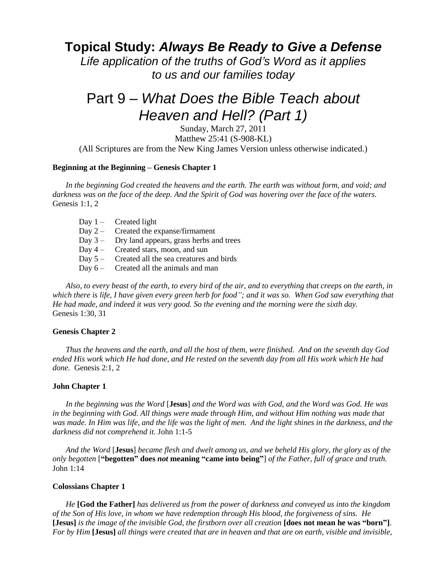# **Topical Study:** *Always Be Ready to Give a Defense*

*Life application of the truths of God's Word as it applies to us and our families today*

# Part 9 – *What Does the Bible Teach about Heaven and Hell? (Part 1)*

Sunday, March 27, 2011 Matthew 25:41 (S-908-KL) (All Scriptures are from the New King James Version unless otherwise indicated.)

#### **Beginning at the Beginning – Genesis Chapter 1**

*In the beginning God created the heavens and the earth. The earth was without form, and void; and darkness was on the face of the deep. And the Spirit of God was hovering over the face of the waters.* Genesis 1:1, 2

- Day  $1 -$  Created light
- Day 2 Created the expanse/firmament
- Day 3 Dry land appears, grass herbs and trees
- Day 4 Created stars, moon, and sun
- Day  $5 -$  Created all the sea creatures and birds
- Day  $6 -$  Created all the animals and man

*Also, to every beast of the earth, to every bird of the air, and to everything that creeps on the earth, in which there is life, I have given every green herb for food"; and it was so. When God saw everything that He had made, and indeed it was very good. So the evening and the morning were the sixth day.* Genesis 1:30, 31

#### **Genesis Chapter 2**

*Thus the heavens and the earth, and all the host of them, were finished. And on the seventh day God ended His work which He had done, and He rested on the seventh day from all His work which He had done.* Genesis 2:1, 2

#### **John Chapter 1**

*In the beginning was the Word* [**Jesus**] *and the Word was with God, and the Word was God. He was in the beginning with God. All things were made through Him, and without Him nothing was made that was made. In Him was life, and the life was the light of men. And the light shines in the darkness, and the darkness did not comprehend it.* John 1:1-5

*And the Word* [**Jesus**] *became flesh and dwelt among us, and we beheld His glory, the glory as of the only begotten* [**"begotten" does** *not* **meaning "came into being"**] *of the Father, full of grace and truth.* John 1:14

#### **Colossians Chapter 1**

*He* **[God the Father]** *has delivered us from the power of darkness and conveyed us into the kingdom of the Son of His love, in whom we have redemption through His blood, the forgiveness of sins. He* **[Jesus]** *is the image of the invisible God, the firstborn over all creation* **[does not mean he was "born"]**. *For by Him* **[Jesus]** *all things were created that are in heaven and that are on earth, visible and invisible,*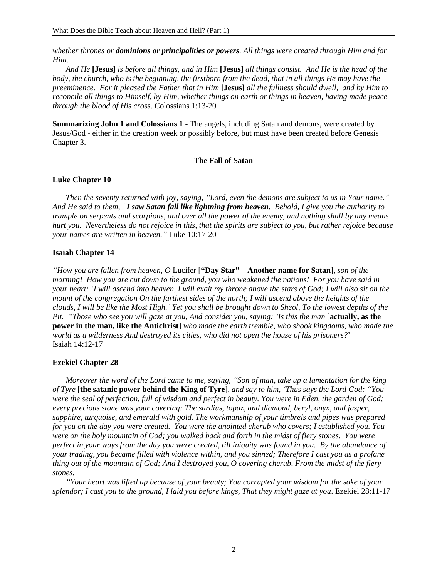*whether thrones or dominions or principalities or powers. All things were created through Him and for Him*.

*And He* **[Jesus]** *is before all things, and in Him* **[Jesus]** *all things consist. And He is the head of the body, the church, who is the beginning, the firstborn from the dead, that in all things He may have the preeminence. For it pleased the Father that in Him* **[Jesus]** *all the fullness should dwell, and by Him to reconcile all things to Himself, by Him, whether things on earth or things in heaven, having made peace through the blood of His cross*. Colossians 1:13-20

**Summarizing John 1 and Colossians 1 -** The angels, including Satan and demons, were created by Jesus/God - either in the creation week or possibly before, but must have been created before Genesis Chapter 3.

#### **The Fall of Satan**

#### **Luke Chapter 10**

*Then the seventy returned with joy, saying, "Lord, even the demons are subject to us in Your name." And He said to them, "I saw Satan fall like lightning from heaven. Behold, I give you the authority to trample on serpents and scorpions, and over all the power of the enemy, and nothing shall by any means hurt you. Nevertheless do not rejoice in this, that the spirits are subject to you, but rather rejoice because your names are written in heaven."* Luke 10:17-20

#### **Isaiah Chapter 14**

*"How you are fallen from heaven, O* Lucifer [**"Day Star" – Another name for Satan**]*, son of the morning! How you are cut down to the ground, you who weakened the nations! For you have said in your heart: "I will ascend into heaven, I will exalt my throne above the stars of God; I will also sit on the mount of the congregation On the farthest sides of the north; I will ascend above the heights of the clouds, I will be like the Most High." Yet you shall be brought down to Sheol, To the lowest depths of the Pit. "Those who see you will gaze at you, And consider you, saying: "Is this the man* [**actually, as the power in the man, like the Antichrist]** *who made the earth tremble, who shook kingdoms, who made the world as a wilderness And destroyed its cities, who did not open the house of his prisoners?*' Isaiah 14:12-17

#### **Ezekiel Chapter 28**

*Moreover the word of the Lord came to me, saying, "Son of man, take up a lamentation for the king of Tyre* [**the satanic power behind the King of Tyre**], *and say to him, "Thus says the Lord God: "You were the seal of perfection, full of wisdom and perfect in beauty. You were in Eden, the garden of God; every precious stone was your covering: The sardius, topaz, and diamond, beryl, onyx, and jasper, sapphire, turquoise, and emerald with gold. The workmanship of your timbrels and pipes was prepared for you on the day you were created. You were the anointed cherub who covers; I established you. You were on the holy mountain of God; you walked back and forth in the midst of fiery stones. You were perfect in your ways from the day you were created, till iniquity was found in you. By the abundance of your trading, you became filled with violence within, and you sinned; Therefore I cast you as a profane thing out of the mountain of God; And I destroyed you, O covering cherub, From the midst of the fiery stones.* 

*"Your heart was lifted up because of your beauty; You corrupted your wisdom for the sake of your splendor; I cast you to the ground, I laid you before kings, That they might gaze at you*. Ezekiel 28:11-17